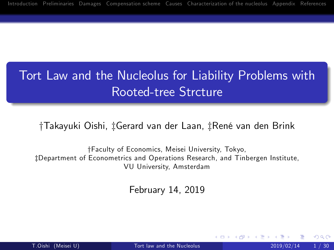# Tort Law and the Nucleolus for Liability Problems with Rooted-tree Strcture

#### †Takayuki Oishi, ‡Gerard van der Laan, ‡René van den Brink

yFaculty of Economics, Meisei University, Tokyo, zDepartment of Econometrics and Operations Research, and Tinbergen Institute, VU University, Amsterdam

<span id="page-0-0"></span>February 14, 2019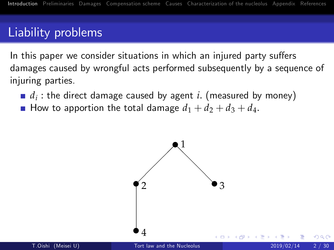## Liability problems

In this paper we consider situations in which an injured party suffers damages caused by wrongful acts performed subsequently by a sequence of injuring parties.

- $d_i$  : the direct damage caused by agent  $i.$  (measured by money)
- How to apportion the total damage  $d_1 + d_2 + d_3 + d_4$ .

<span id="page-1-0"></span>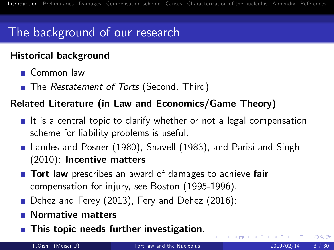# The background of our research

#### Historical background

- Common law
- The *Restatement of Torts* (Second, Third)

#### Related Literature (in Law and Economics/Game Theory)

- If is a central topic to clarify whether or not a legal compensation scheme for liability problems is useful.
- Landes and Posner (1980), Shavell (1983), and Parisi and Singh (2010): Incentive matters
- **Tort law** prescribes an award of damages to achieve fair compensation for injury, see Boston (1995-1996).
- Dehez and Ferey (2013), Fery and Dehez (2016):
- Normative matters
- **This topic needs further investigation.**

4 D F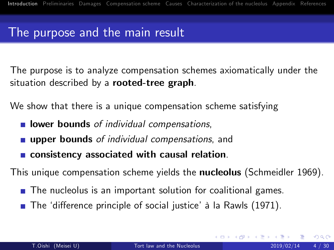### The purpose and the main result

The purpose is to analyze compensation schemes axiomatically under the situation described by a rooted-tree graph.

We show that there is a unique compensation scheme satisfying

- **I** lower bounds of individual compensations,
- **upper bounds** of individual compensations, and
- **EXCONSISTENCY ASSOCIATED With causal relation.**

This unique compensation scheme yields the **nucleolus** (Schmeidler 1969).

- The nucleolus is an important solution for coalitional games.
- **The 'difference principle of social justice' à la Rawls (1971).**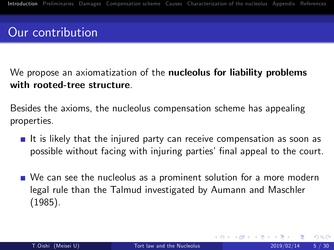# Our contribution

#### We propose an axiomatization of the **nucleolus for liability problems** with rooted-tree structure.

Besides the axioms, the nucleolus compensation scheme has appealing properties.

- It is likely that the injured party can receive compensation as soon as possible without facing with injuring parties' final appeal to the court.
- **No** Can see the nucleolus as a prominent solution for a more modern legal rule than the Talmud investigated by Aumann and Maschler (1985).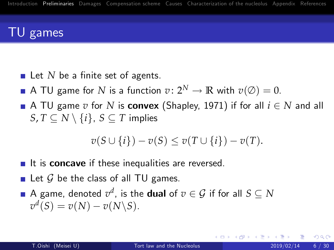## TU games

- $\blacksquare$  Let *N* be a finite set of agents.
- A TU game for *N* is a function  $v: 2^N \to \mathbb{R}$  with  $v(\emptyset) = 0$ .
- A TU game  $v$  for  $N$  is **convex** (Shapley, 1971) if for all  $i \in N$  and all  $S, T \subseteq N \setminus \{i\}, S \subseteq T$  implies

<span id="page-5-0"></span>
$$
v(S \cup \{i\}) - v(S) \le v(T \cup \{i\}) - v(T).
$$

- $\blacksquare$  It is concave if these inequalities are reversed.
- $\blacksquare$  Let  $\mathcal G$  be the class of all TU games.
- A game, denoted  $v^d$ , is the **dual** of  $v \in \mathcal{G}$  if for all  $S \subseteq N$  $v^d(S) = v(N) - v(N \setminus S).$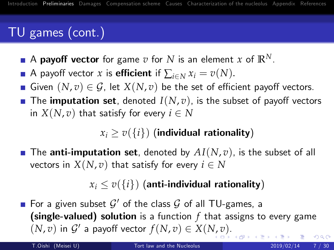# TU games (cont.)

- A payoff vector for game  $v$  for  $N$  is an element  $x$  of  $\mathbb{R}^N$ .
- A payoff vector *x* is **efficient** if  $\sum_{i \in N} x_i = v(N)$ .
- Given  $(N, v) \in \mathcal{G}$ , let  $X(N, v)$  be the set of efficient payoff vectors.
- The imputation set, denoted  $I(N, v)$ , is the subset of payoff vectors in  $X(N, v)$  that satisfy for every  $i \in N$

### $x_i > v(\lbrace i \rbrace)$  (individual rationality)

**The anti-imputation set**, denoted by  $AI(N, v)$ , is the subset of all vectors in  $X(N, v)$  that satisfy for every  $i \in N$ 

### $x_i \le v(\{i\})$  (anti-individual rationality)

For a given subset  $\mathcal{G}'$  of the class  $\mathcal G$  of all TU-games, a (single-valued) solution is a function *f* that assigns to every game  $(N, v)$  $(N, v)$  $(N, v)$  $(N, v)$  in  $\mathcal{G}'$  a payoff vector  $f(N, v) \in X(N, v)$ [.](#page-5-0)  $QQ$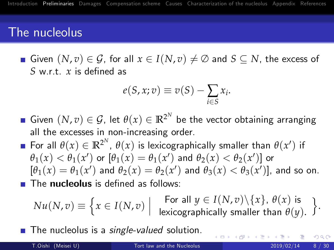### The nucleolus

Given  $(N, v) \in \mathcal{G}$ , for all  $x \in I(N, v) \neq \emptyset$  and  $S \subseteq N$ , the excess of *S* w.r.t. *x* is defined as

$$
e(S, x; v) \equiv v(S) - \sum_{i \in S} x_i.
$$

- Given  $(N, v) \in \mathcal{G}$ , let  $\theta(x) \in \mathbb{R}^{2^N}$  be the vector obtaining arranging all the excesses in non-increasing order.
- For all  $\theta(x) \in \mathbb{R}^{2^N}$ ,  $\theta(x)$  is lexicographically smaller than  $\theta(x')$  if  $\theta_1(x) < \theta_1(x')$  or  $[\theta_1(x) = \theta_1(x')$  and  $\theta_2(x) < \theta_2(x')]$  or  $[\theta_1(x) = \theta_1(x')]$  and  $\theta_2(x) = \theta_2(x')$  and  $\theta_3(x) < \theta_3(x')$ ], and so on.  $\blacksquare$  The nucleolus is defined as follows:

$$
Nu(N,v) \equiv \left\{ x \in I(N,v) \; \middle| \; \begin{array}{c} \text{For all } y \in I(N,v) \setminus \{x\}, \; \theta(x) \text{ is} \\ \text{lexicographically smaller than } \theta(y). \end{array} \right\}.
$$

<span id="page-7-0"></span>(□ ) ( ) (

 $\blacksquare$  The nucleolus is a *single-valued* solution.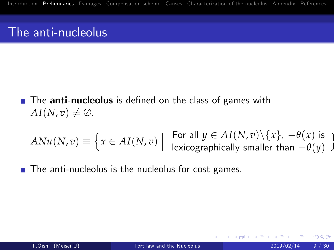### The anti-nucleolus

 $\blacksquare$  The anti-nucleolus is defined on the class of games with  $AI(N, v) \neq \emptyset$ .

$$
ANu(N,v) \equiv \left\{ x \in AI(N,v) \mid \begin{array}{c} \text{For all } y \in AI(N,v) \setminus \{x\}, -\theta(x) \text{ is } \\ \text{lexicographically smaller than } -\theta(y) \end{array} \right\}
$$

The anti-nucleolus is the nucleolus for cost games.

4 0 8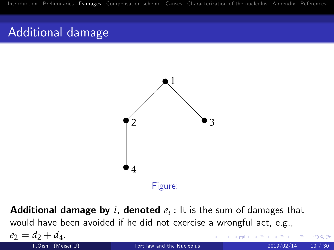## Additional damage

<span id="page-9-0"></span>

 ${\sf Additional}$  damage by  $i,$  denoted  $e_i$  : It is the sum of damages that would have been avoided if he did not exercise a wrongful act, e.g.,  $e_2 = d_2 + d_4.$ <br>T.Oishi (Meisei U) 4 D F [Tort law and the Nucleolus](#page-0-0) 2019/02/14  $\frac{10}{4}$  2019/02/14 20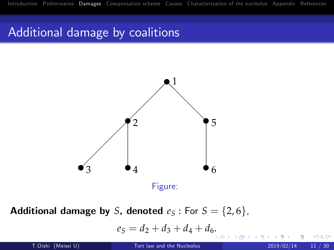## Additional damage by coalitions



**Additional damage by** *S***, denoted**  $e_S$ : For  $S = \{2, 6\}$ ,

$$
e_S = d_2 + d_3 + d_4 + d_6.
$$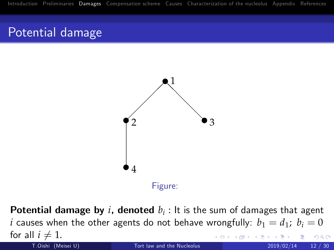## Potential damage



 $\bm{\mathsf{Potential}}$  damage by  $i$ , denoted  $b_i$  : It is the sum of damages that agent *i* causes when the other agents do not behave wrongfully:  $b_1 = d_1$ ;  $b_i = 0$ **for all**  $i \neq 1$ **.**<br>T.Oishi (Meisei U)  $290$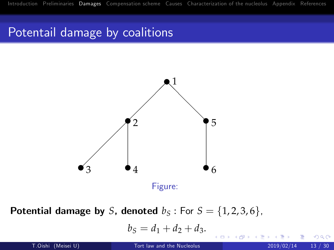## Potentail damage by coalitions



**Potential damage by** *S*, denoted  $b_S$ : For  $S = \{1, 2, 3, 6\}$ ,

$$
b_S=d_1+d_2+d_3.
$$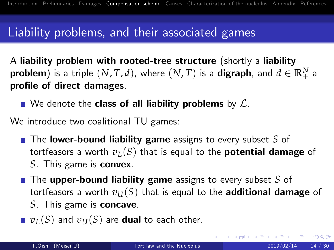### Liability problems, and their associated games

A liability problem with rooted-tree structure (shortly a liability  $\bf{problem}$ ) is a triple  $(N, T, d)$ , where  $(N, T)$  is a  $\bf{digraph}$ , and  $d \in \mathbb{R}_+^N$  a profile of direct damages.

 $\blacksquare$  We denote the class of all liability problems by  $\mathcal{L}$ .

We introduce two coalitional TU games:

- The **lower-bound liability game** assigns to every subset S of tortfeasors a worth  $v_L(S)$  that is equal to the **potential damage** of *S*. This game is convex.
- The upper-bound liability game assigns to every subset *S* of tortfeasors a worth  $v_{II}(S)$  that is equal to the **additional damage** of *S*. This game is concave.
- $\nu_L(S)$  and  $v_U(S)$  are **dual** to each other.

<span id="page-13-0"></span> $QQ$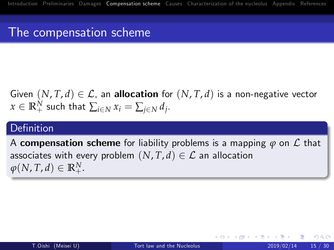## The compensation scheme

Given  $(N, T, d) \in \mathcal{L}$ , an **allocation** for  $(N, T, d)$  is a non-negative vector  $x \in \mathbb{R}_+^N$  such that  $\sum_{i \in N} x_i = \sum_{j \in N} d_j$ .

#### Definition

A **compensation scheme** for liability problems is a mapping  $\varphi$  on  $\mathcal{L}$  that associates with every problem  $(N, T, d) \in \mathcal{L}$  an allocation  $\varphi(N, T, d) \in \mathbb{R}^N_+.$ 

つへへ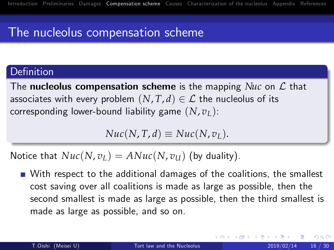## The nucleolus compensation scheme

#### Definition

The **nucleolus compensation scheme** is the mapping *Nuc* on  $\mathcal{L}$  that associates with every problem  $(N, T, d) \in \mathcal{L}$  the nucleolus of its corresponding lower-bound liability game (*N*, *vL*):

 $Nuc(N, T, d) \equiv Nuc(N, v_L)$ .

Notice that  $Nuc(N, v_L) = ANuc(N, v_U)$  (by duality).

With respect to the additional damages of the coalitions, the smallest cost saving over all coalitions is made as large as possible, then the second smallest is made as large as possible, then the third smallest is made as large as possible, and so on.

<span id="page-15-0"></span> $200$ 

K ロ ▶ K 御 ▶ K 君 ▶ K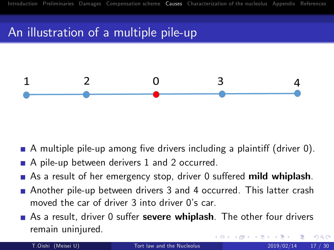# An illustration of a multiple pile-up



- A multiple pile-up among five drivers including a plaintiff (driver  $0$ ).
- A pile-up between derivers 1 and 2 occurred.
- As a result of her emergency stop, driver 0 suffered mild whiplash.
- Another pile-up between drivers 3 and 4 occurred. This latter crash moved the car of driver 3 into driver 0's car.
- As a result, driver 0 suffer **severe whiplash**. The other four drivers remain uninjured.

<span id="page-16-0"></span>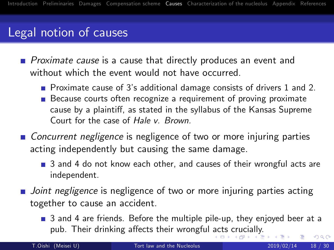## Legal notion of causes

**Proximate cause is a cause that directly produces an event and** without which the event would not have occurred.

- Proximate cause of 3's additional damage consists of drivers 1 and 2.
- Because courts often recognize a requirement of proving proximate cause by a plaintiff, as stated in the syllabus of the Kansas Supreme Court for the case of Hale v. Brown.
- Concurrent negligence is negligence of two or more injuring parties acting independently but causing the same damage.
	- 3 and 4 do not know each other, and causes of their wrongful acts are independent.
- <span id="page-17-0"></span>**Joint negligence is negligence of two or more injuring parties acting** together to cause an accident.
	- **3** and 4 are friends. Before the multiple pile-up, they enjoyed beer at a pub. Their drinking affects their wrongful [ac](#page-16-0)t[s](#page-18-0) [cr](#page-16-0)[uc](#page-17-0)[ia](#page-18-0)[ll](#page-15-0)[y](#page-16-0)[.](#page-21-0)  $\Omega$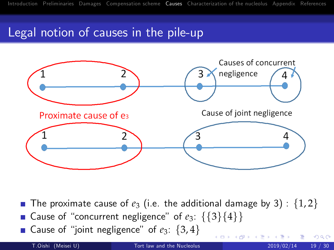## Legal notion of causes in the pile-up



- The proximate cause of  $e_3$  (i.e. the additional damage by 3) :  $\{1,2\}$ Gause of "concurrent negligence" of  $e_3$ : {{3}{4}}
- Gause of "joint negligence" of  $e_3$ :  $\{3, 4\}$

T.Oishi (Meisei U) [Tort law and the Nucleolus](#page-0-0) 2019/02/14 19 / 30

<span id="page-18-0"></span> $QQ$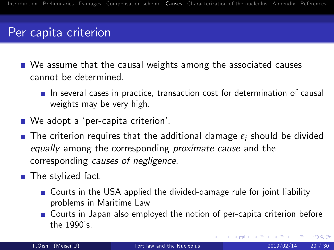### Per capita criterion

- We assume that the causal weights among the associated causes cannot be determined.
	- $\blacksquare$  In several cases in practice, transaction cost for determination of causal weights may be very high.
- We adopt a 'per-capita criterion'.
- **The criterion requires that the additional damage**  $e_i$  **should be divided** equally among the corresponding *proximate cause* and the corresponding causes of negligence.
- $\blacksquare$  The stylized fact
	- Courts in the USA applied the divided-damage rule for joint liability problems in Maritime Law
	- Courts in Japan also employed the notion of per-capita criterion before the 1990's.

 $QQ$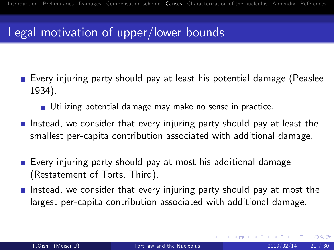## Legal motivation of upper/lower bounds

- Every injuring party should pay at least his potential damage (Peaslee 1934).
	- Utilizing potential damage may make no sense in practice.
- Instead, we consider that every injuring party should pay at least the smallest per-capita contribution associated with additional damage.
- Every injuring party should pay at most his additional damage (Restatement of Torts, Third).
- Instead, we consider that every injuring party should pay at most the largest per-capita contribution associated with additional damage.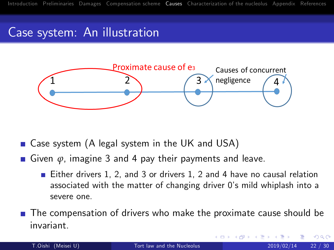## Case system: An illustration



- Case system (A legal system in the UK and USA)
- Given φ, imagine 3 and 4 pay their payments and leave.
	- Either drivers 1, 2, and 3 or drivers 1, 2 and 4 have no causal relation associated with the matter of changing driver 0's mild whiplash into a severe one.
- <span id="page-21-0"></span>The compensation of drivers who make the proximate cause should be invariant.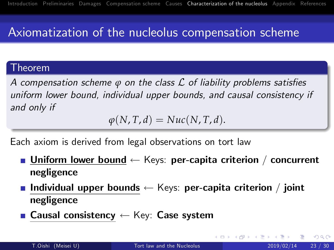# Axiomatization of the nucleolus compensation scheme

#### Theorem

A compensation scheme *ϕ* on the class *L* of liability problems satisfies uniform lower bound, individual upper bounds, and causal consistency if and only if

<span id="page-22-0"></span>
$$
\varphi(N,T,d)=Nuc(N,T,d).
$$

Each axiom is derived from legal observations on tort law

- **Dimilioral Interval Depter-Ly** Equilibrary Per-capita criterion / concurrent negligence
- **Individual upper bounds**  $\leftarrow$  Keys: per-capita criterion / joint negligence
- **Causal consistency**  $\leftarrow$  Key: Case system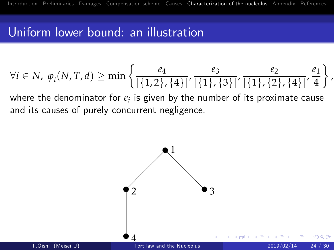## Uniform lower bound: an illustration

$$
\forall i \in N, \varphi_i(N, T, d) \ge \min \left\{ \frac{e_4}{|\{1, 2\}, \{4\}|}, \frac{e_3}{|\{1\}, \{3\}|}, \frac{e_2}{|\{1\}, \{2\}, \{4\}|}, \frac{e_1}{4} \right\},\
$$
  
where the denominator for  $e_i$  is given by the number of its proximate cause

where the denominator for *e<sup>i</sup>* is given by the number of its proximate cause and its causes of purely concurrent negligence.

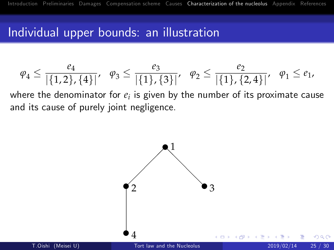### Individual upper bounds: an illustration

$$
\varphi_4 \leq \frac{e_4}{|\{1,2\},\{4\}|}, \quad \varphi_3 \leq \frac{e_3}{|\{1\},\{3\}|}, \quad \varphi_2 \leq \frac{e_2}{|\{1\},\{2,4\}|}, \quad \varphi_1 \leq e_1,
$$

where the denominator for  $e_i$  is given by the number of its proximate cause and its cause of purely joint negligence.

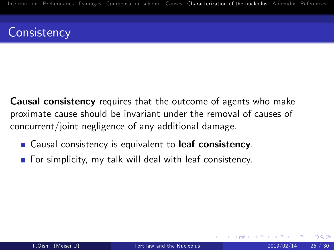## **Consistency**

**Causal consistency** requires that the outcome of agents who make proximate cause should be invariant under the removal of causes of concurrent/joint negligence of any additional damage.

- Causal consistency is equivalent to leaf consistency.
- For simplicity, my talk will deal with leaf consistency.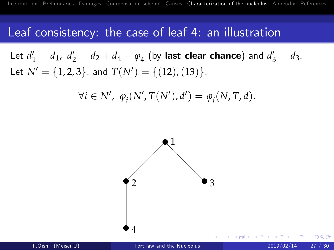#### Leaf consistency: the case of leaf 4: an illustration

Let  $d'_1 = d_1$ ,  $d'_2 = d_2 + d_4 - \varphi_4$  (by last clear chance) and  $d'_3 = d_3$ . Let  $N' = \{1, 2, 3\}$ , and  $T(N') = \{(12), (13)\}.$ 

$$
\forall i \in N', \; \varphi_i(N', T(N'), d') = \varphi_i(N, T, d).
$$

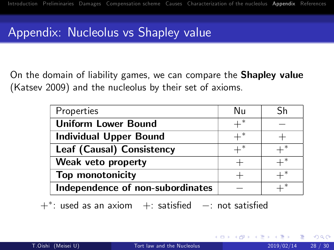# Appendix: Nucleolus vs Shapley value

On the domain of liability games, we can compare the Shapley value (Katsev 2009) and the nucleolus by their set of axioms.

| Properties                       | Nu    |  |
|----------------------------------|-------|--|
| <b>Uniform Lower Bound</b>       |       |  |
| <b>Individual Upper Bound</b>    |       |  |
| Leaf (Causal) Consistency        | $+^*$ |  |
| Weak veto property               |       |  |
| Top monotonicity                 |       |  |
| Independence of non-subordinates |       |  |

<span id="page-27-0"></span> $+$ \*: used as an axiom  $+$ : satisfied  $-$ : not satisfied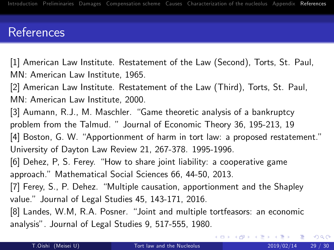### References

[1] American Law Institute. Restatement of the Law (Second), Torts, St. Paul, MN: American Law Institute, 1965.

[2] American Law Institute. Restatement of the Law (Third), Torts, St. Paul, MN: American Law Institute, 2000.

[3] Aumann, R.J., M. Maschler. "Game theoretic analysis of a bankruptcy problem from the Talmud. " Journal of Economic Theory 36, 195-213, 19 [4] Boston, G. W. "Apportionment of harm in tort law: a proposed restatement." University of Dayton Law Review 21, 267-378. 1995-1996.

[6] Dehez, P, S. Ferey. "How to share joint liability: a cooperative game approach.î Mathematical Social Sciences 66, 44-50, 2013.

[7] Ferey, S., P. Dehez. "Multiple causation, apportionment and the Shapley value." Journal of Legal Studies 45, 143-171, 2016.

[8] Landes, W.M, R.A. Posner. "Joint and multiple tortfeasors: an economic analysisî. Journal of Legal Studies 9, 517-555, 1980.

<span id="page-28-0"></span> $QQQ$ 

メロメ メ都 メメ きょくきょ